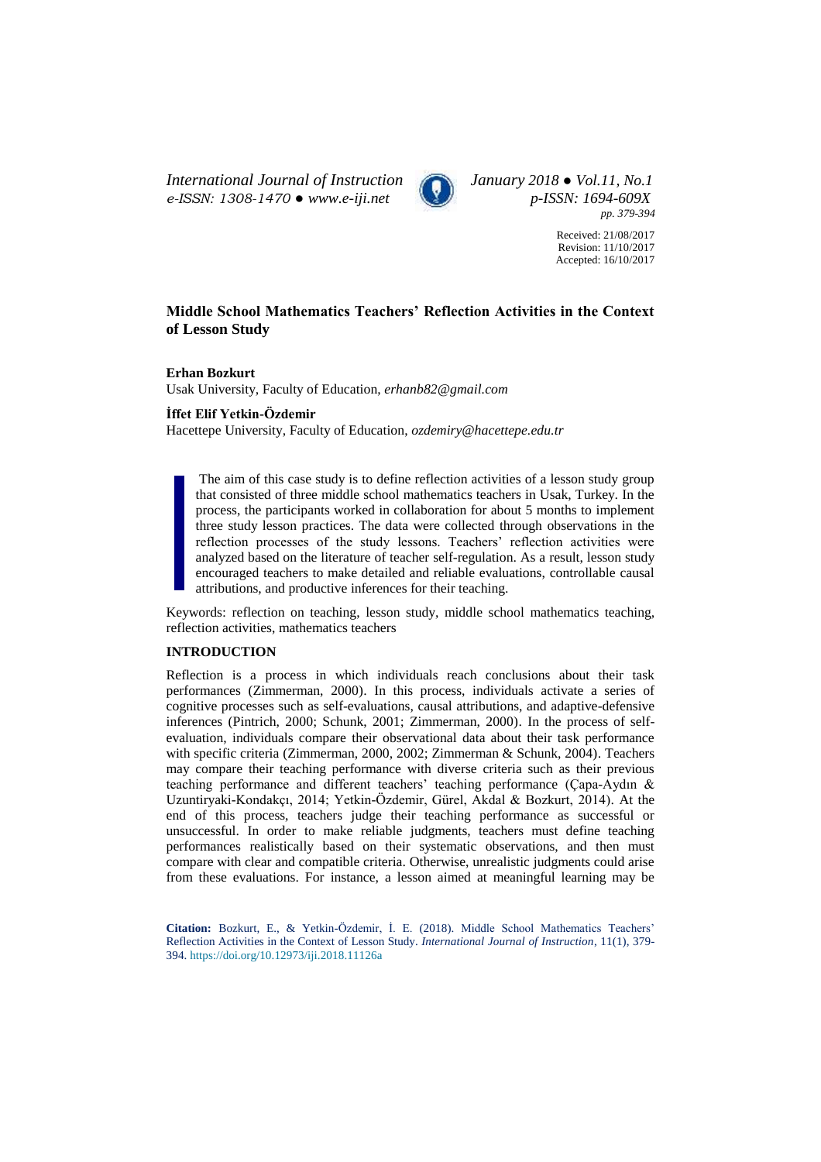*International Journal of Instruction January 2018 ● Vol.11, No.1 e-ISSN: 1308-1470 ● [www.e-iji.net](http://www.e-iji.net/) p-ISSN: 1694-609X*



*pp. 379-394*

Received: 21/08/2017 Revision: 11/10/2017 Accepted: 16/10/2017

# **Middle School Mathematics Teachers' Reflection Activities in the Context of Lesson Study**

**Erhan Bozkurt**

Usak University, Faculty of Education, *erhanb82@gmail.com*

**İffet Elif Yetkin-Özdemir**

Hacettepe University, Faculty of Education, *ozdemiry@hacettepe.edu.tr*

The aim of this case study is to define reflection activities of a lesson study group that consisted of three middle school mathematics teachers in Usak, Turkey. In the process, the participants worked in collaboration for about 5 months to implement three study lesson practices. The data were collected through observations in the reflection processes of the study lessons. Teachers' reflection activities were analyzed based on the literature of teacher self-regulation. As a result, lesson study encouraged teachers to make detailed and reliable evaluations, controllable causal attributions, and productive inferences for their teaching.

Keywords: reflection on teaching, lesson study, middle school mathematics teaching, reflection activities, mathematics teachers

### **INTRODUCTION**

Reflection is a process in which individuals reach conclusions about their task performances (Zimmerman, 2000). In this process, individuals activate a series of cognitive processes such as self-evaluations, causal attributions, and adaptive-defensive inferences (Pintrich, 2000; Schunk, 2001; Zimmerman, 2000). In the process of selfevaluation, individuals compare their observational data about their task performance with specific criteria (Zimmerman, 2000, 2002; Zimmerman & Schunk, 2004). Teachers may compare their teaching performance with diverse criteria such as their previous teaching performance and different teachers' teaching performance (Çapa-Aydın & Uzuntiryaki-Kondakçı, 2014; Yetkin-Özdemir, Gürel, Akdal & Bozkurt, 2014). At the end of this process, teachers judge their teaching performance as successful or unsuccessful. In order to make reliable judgments, teachers must define teaching performances realistically based on their systematic observations, and then must compare with clear and compatible criteria. Otherwise, unrealistic judgments could arise from these evaluations. For instance, a lesson aimed at meaningful learning may be

**Citation:** Bozkurt, E., & Yetkin-Özdemir, İ. E. (2018). Middle School Mathematics Teachers' Reflection Activities in the Context of Lesson Study. *International Journal of Instruction*, 11(1), 379- 394. <https://doi.org/10.12973/iji.2018.11126a>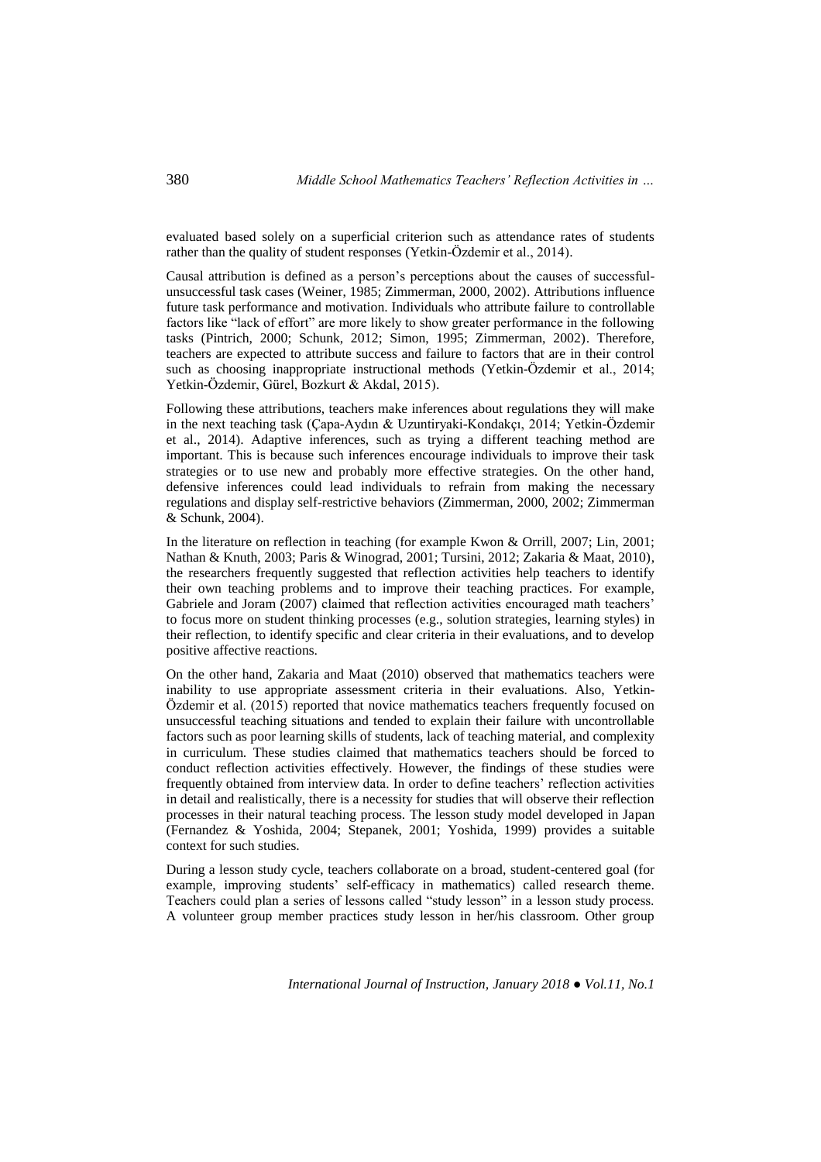evaluated based solely on a superficial criterion such as attendance rates of students rather than the quality of student responses (Yetkin-Özdemir et al., 2014).

Causal attribution is defined as a person's perceptions about the causes of successfulunsuccessful task cases (Weiner, 1985; Zimmerman, 2000, 2002). Attributions influence future task performance and motivation. Individuals who attribute failure to controllable factors like "lack of effort" are more likely to show greater performance in the following tasks (Pintrich, 2000; Schunk, 2012; Simon, 1995; Zimmerman, 2002). Therefore, teachers are expected to attribute success and failure to factors that are in their control such as choosing inappropriate instructional methods (Yetkin-Özdemir et al., 2014; Yetkin-Özdemir, Gürel, Bozkurt & Akdal, 2015).

Following these attributions, teachers make inferences about regulations they will make in the next teaching task (Çapa-Aydın & Uzuntiryaki-Kondakçı, 2014; Yetkin-Özdemir et al., 2014). Adaptive inferences, such as trying a different teaching method are important. This is because such inferences encourage individuals to improve their task strategies or to use new and probably more effective strategies. On the other hand, defensive inferences could lead individuals to refrain from making the necessary regulations and display self-restrictive behaviors (Zimmerman, 2000, 2002; Zimmerman & Schunk, 2004).

In the literature on reflection in teaching (for example Kwon & Orrill, 2007; Lin, 2001; Nathan & Knuth, 2003; Paris & Winograd, 2001; Tursini, 2012; Zakaria & Maat, 2010), the researchers frequently suggested that reflection activities help teachers to identify their own teaching problems and to improve their teaching practices. For example, Gabriele and Joram (2007) claimed that reflection activities encouraged math teachers' to focus more on student thinking processes (e.g., solution strategies, learning styles) in their reflection, to identify specific and clear criteria in their evaluations, and to develop positive affective reactions.

On the other hand, Zakaria and Maat (2010) observed that mathematics teachers were inability to use appropriate assessment criteria in their evaluations. Also, Yetkin-Özdemir et al. (2015) reported that novice mathematics teachers frequently focused on unsuccessful teaching situations and tended to explain their failure with uncontrollable factors such as poor learning skills of students, lack of teaching material, and complexity in curriculum. These studies claimed that mathematics teachers should be forced to conduct reflection activities effectively. However, the findings of these studies were frequently obtained from interview data. In order to define teachers' reflection activities in detail and realistically, there is a necessity for studies that will observe their reflection processes in their natural teaching process. The lesson study model developed in Japan (Fernandez & Yoshida, 2004; Stepanek, 2001; Yoshida, 1999) provides a suitable context for such studies.

During a lesson study cycle, teachers collaborate on a broad, student-centered goal (for example, improving students' self-efficacy in mathematics) called research theme. Teachers could plan a series of lessons called "study lesson" in a lesson study process. A volunteer group member practices study lesson in her/his classroom. Other group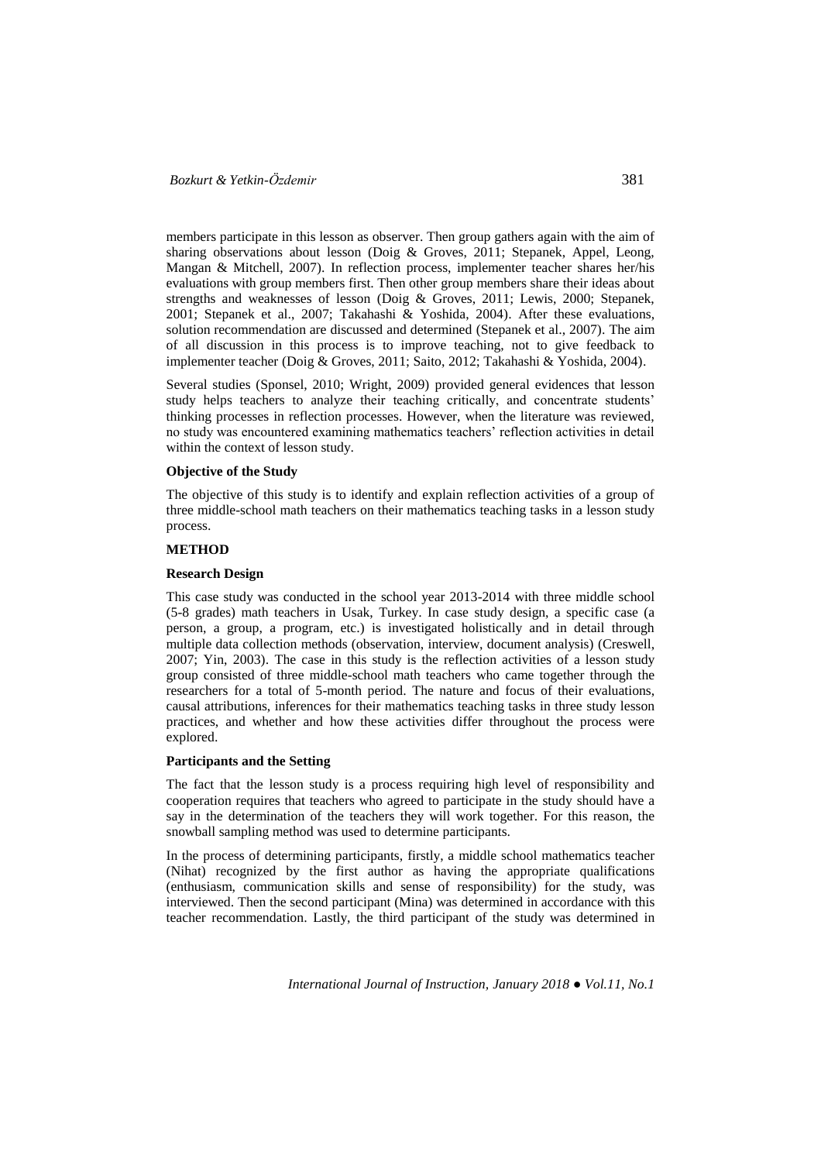members participate in this lesson as observer. Then group gathers again with the aim of sharing observations about lesson (Doig & Groves, 2011; Stepanek, Appel, Leong, Mangan & Mitchell, 2007). In reflection process, implementer teacher shares her/his evaluations with group members first. Then other group members share their ideas about strengths and weaknesses of lesson (Doig & Groves, 2011; Lewis, 2000; Stepanek, 2001; Stepanek et al., 2007; Takahashi & Yoshida, 2004). After these evaluations, solution recommendation are discussed and determined (Stepanek et al., 2007). The aim of all discussion in this process is to improve teaching, not to give feedback to implementer teacher (Doig & Groves, 2011; Saito, 2012; Takahashi & Yoshida, 2004).

Several studies (Sponsel, 2010; Wright, 2009) provided general evidences that lesson study helps teachers to analyze their teaching critically, and concentrate students' thinking processes in reflection processes. However, when the literature was reviewed, no study was encountered examining mathematics teachers' reflection activities in detail within the context of lesson study.

#### **Objective of the Study**

The objective of this study is to identify and explain reflection activities of a group of three middle-school math teachers on their mathematics teaching tasks in a lesson study process.

# **METHOD**

#### **Research Design**

This case study was conducted in the school year 2013-2014 with three middle school (5-8 grades) math teachers in Usak, Turkey. In case study design, a specific case (a person, a group, a program, etc.) is investigated holistically and in detail through multiple data collection methods (observation, interview, document analysis) (Creswell, 2007; Yin, 2003). The case in this study is the reflection activities of a lesson study group consisted of three middle-school math teachers who came together through the researchers for a total of 5-month period. The nature and focus of their evaluations, causal attributions, inferences for their mathematics teaching tasks in three study lesson practices, and whether and how these activities differ throughout the process were explored.

### **Participants and the Setting**

The fact that the lesson study is a process requiring high level of responsibility and cooperation requires that teachers who agreed to participate in the study should have a say in the determination of the teachers they will work together. For this reason, the snowball sampling method was used to determine participants.

In the process of determining participants, firstly, a middle school mathematics teacher (Nihat) recognized by the first author as having the appropriate qualifications (enthusiasm, communication skills and sense of responsibility) for the study, was interviewed. Then the second participant (Mina) was determined in accordance with this teacher recommendation. Lastly, the third participant of the study was determined in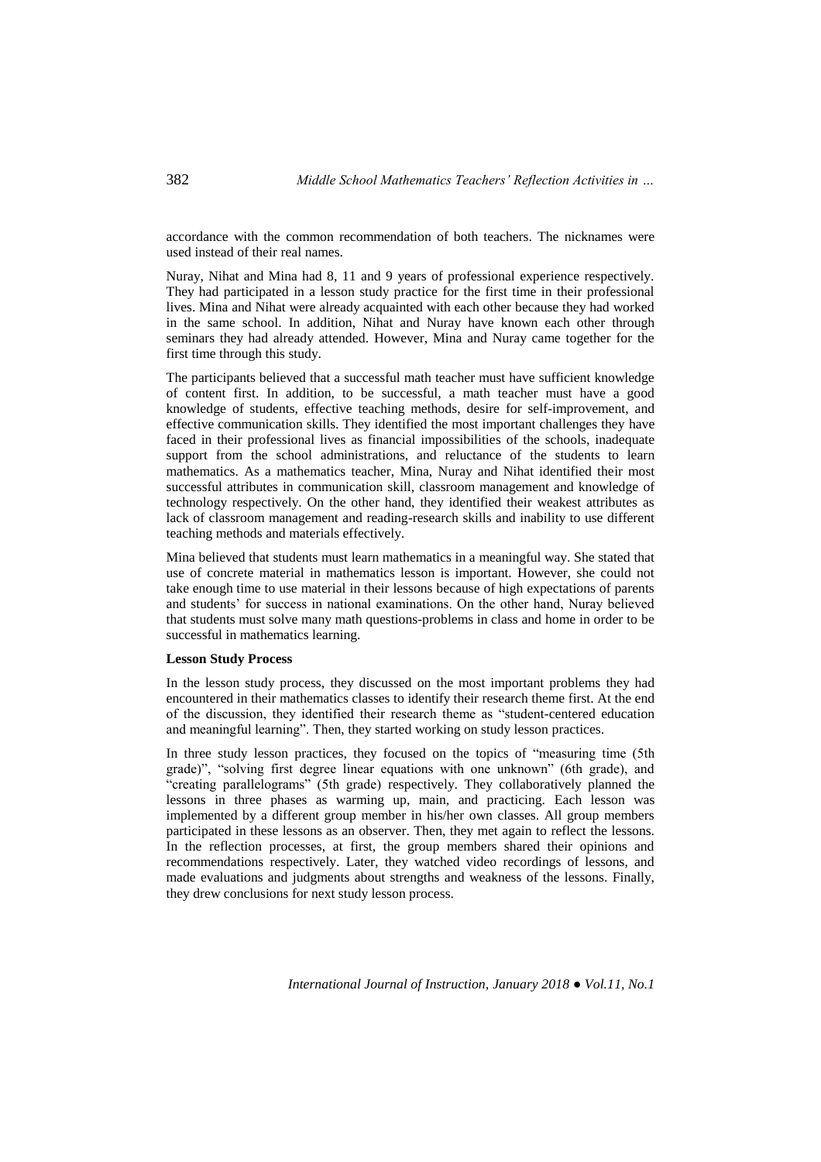accordance with the common recommendation of both teachers. The nicknames were used instead of their real names.

Nuray, Nihat and Mina had 8, 11 and 9 years of professional experience respectively. They had participated in a lesson study practice for the first time in their professional lives. Mina and Nihat were already acquainted with each other because they had worked in the same school. In addition, Nihat and Nuray have known each other through seminars they had already attended. However, Mina and Nuray came together for the first time through this study.

The participants believed that a successful math teacher must have sufficient knowledge of content first. In addition, to be successful, a math teacher must have a good knowledge of students, effective teaching methods, desire for self-improvement, and effective communication skills. They identified the most important challenges they have faced in their professional lives as financial impossibilities of the schools, inadequate support from the school administrations, and reluctance of the students to learn mathematics. As a mathematics teacher, Mina, Nuray and Nihat identified their most successful attributes in communication skill, classroom management and knowledge of technology respectively. On the other hand, they identified their weakest attributes as lack of classroom management and reading-research skills and inability to use different teaching methods and materials effectively.

Mina believed that students must learn mathematics in a meaningful way. She stated that use of concrete material in mathematics lesson is important. However, she could not take enough time to use material in their lessons because of high expectations of parents and students' for success in national examinations. On the other hand, Nuray believed that students must solve many math questions-problems in class and home in order to be successful in mathematics learning.

# **Lesson Study Process**

In the lesson study process, they discussed on the most important problems they had encountered in their mathematics classes to identify their research theme first. At the end of the discussion, they identified their research theme as "student-centered education and meaningful learning". Then, they started working on study lesson practices.

In three study lesson practices, they focused on the topics of "measuring time (5th grade)", "solving first degree linear equations with one unknown" (6th grade), and "creating parallelograms" (5th grade) respectively. They collaboratively planned the lessons in three phases as warming up, main, and practicing. Each lesson was implemented by a different group member in his/her own classes. All group members participated in these lessons as an observer. Then, they met again to reflect the lessons. In the reflection processes, at first, the group members shared their opinions and recommendations respectively. Later, they watched video recordings of lessons, and made evaluations and judgments about strengths and weakness of the lessons. Finally, they drew conclusions for next study lesson process.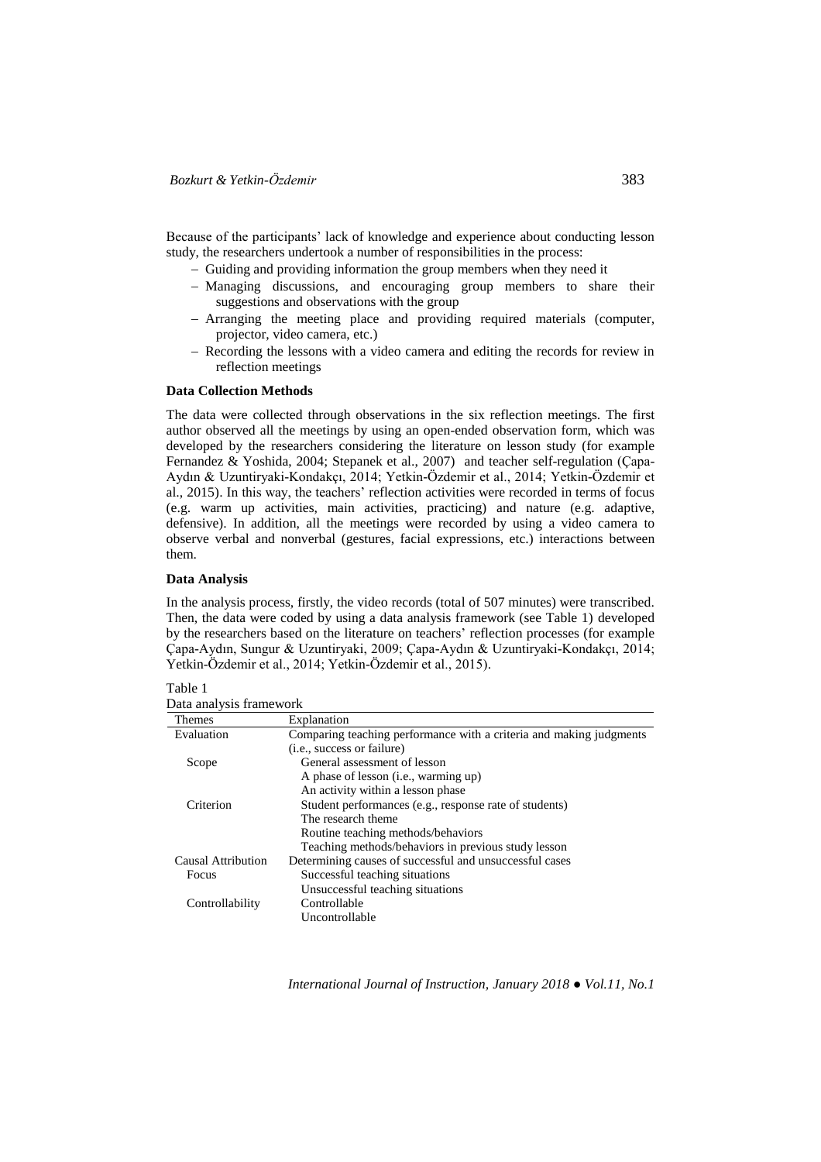Because of the participants' lack of knowledge and experience about conducting lesson study, the researchers undertook a number of responsibilities in the process:

- Guiding and providing information the group members when they need it
- Managing discussions, and encouraging group members to share their suggestions and observations with the group
- Arranging the meeting place and providing required materials (computer, projector, video camera, etc.)
- Recording the lessons with a video camera and editing the records for review in reflection meetings

#### **Data Collection Methods**

The data were collected through observations in the six reflection meetings. The first author observed all the meetings by using an open-ended observation form, which was developed by the researchers considering the literature on lesson study (for example Fernandez & Yoshida, 2004; Stepanek et al., 2007) and teacher self-regulation (Çapa-Aydın & Uzuntiryaki-Kondakçı, 2014; Yetkin-Özdemir et al., 2014; Yetkin-Özdemir et al., 2015). In this way, the teachers' reflection activities were recorded in terms of focus (e.g. warm up activities, main activities, practicing) and nature (e.g. adaptive, defensive). In addition, all the meetings were recorded by using a video camera to observe verbal and nonverbal (gestures, facial expressions, etc.) interactions between them.

### **Data Analysis**

In the analysis process, firstly, the video records (total of 507 minutes) were transcribed. Then, the data were coded by using a data analysis framework (see Table 1) developed by the researchers based on the literature on teachers' reflection processes (for example Çapa-Aydın, Sungur & Uzuntiryaki, 2009; Çapa-Aydın & Uzuntiryaki-Kondakçı, 2014; Yetkin-Özdemir et al., 2014; Yetkin-Özdemir et al., 2015).

| anie |  |
|------|--|
|------|--|

| Data analysis framework |                                                                     |  |  |  |
|-------------------------|---------------------------------------------------------------------|--|--|--|
| <b>Themes</b>           | Explanation                                                         |  |  |  |
| Evaluation              | Comparing teaching performance with a criteria and making judgments |  |  |  |
|                         | ( <i>i.e.</i> , success or failure)                                 |  |  |  |
| Scope                   | General assessment of lesson                                        |  |  |  |
|                         | A phase of lesson ( <i>i.e.</i> , warming up)                       |  |  |  |
|                         | An activity within a lesson phase                                   |  |  |  |
| Criterion               | Student performances (e.g., response rate of students)              |  |  |  |
|                         | The research theme                                                  |  |  |  |
|                         | Routine teaching methods/behaviors                                  |  |  |  |
|                         | Teaching methods/behaviors in previous study lesson                 |  |  |  |
| Causal Attribution      | Determining causes of successful and unsuccessful cases             |  |  |  |
| Focus                   | Successful teaching situations                                      |  |  |  |
|                         | Unsuccessful teaching situations                                    |  |  |  |
| Controllability         | Controllable                                                        |  |  |  |
|                         | Uncontrollable                                                      |  |  |  |
|                         |                                                                     |  |  |  |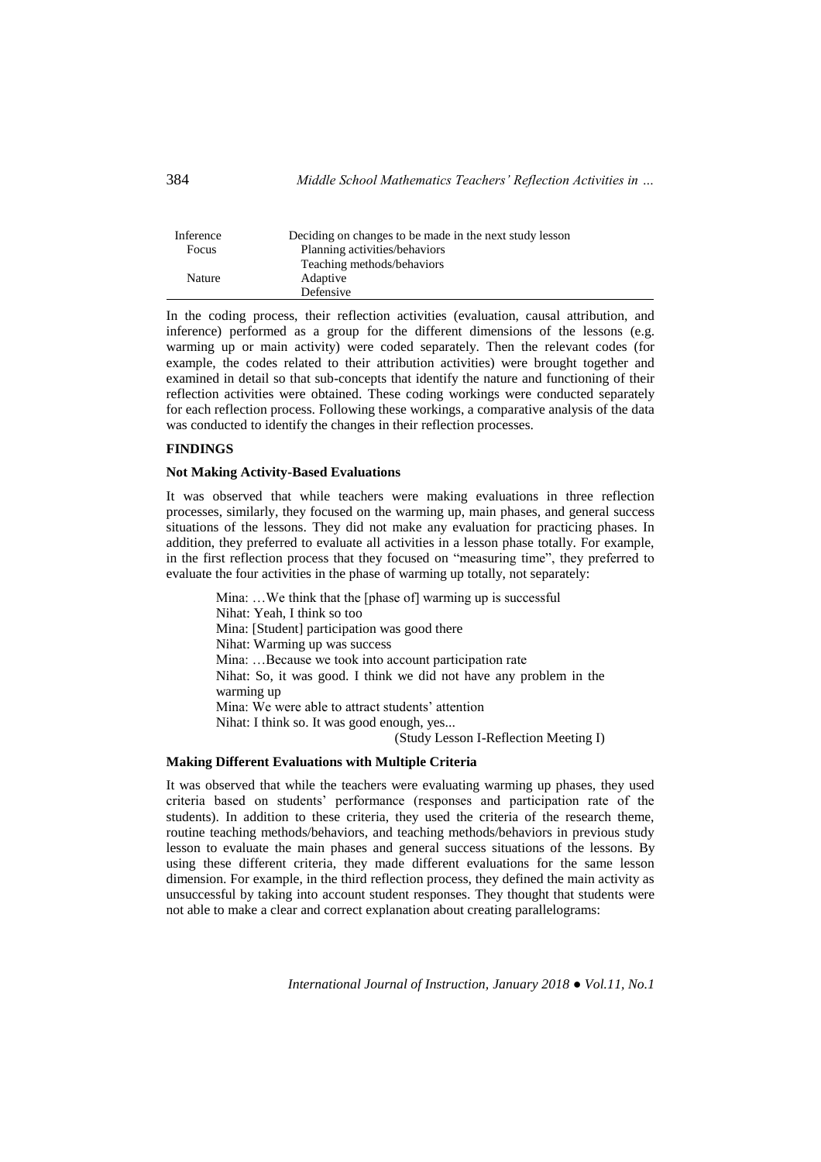| Inference | Deciding on changes to be made in the next study lesson |
|-----------|---------------------------------------------------------|
| Focus     | Planning activities/behaviors                           |
|           | Teaching methods/behaviors                              |
| Nature    | Adaptive                                                |
|           | Defensive                                               |

In the coding process, their reflection activities (evaluation, causal attribution, and inference) performed as a group for the different dimensions of the lessons (e.g. warming up or main activity) were coded separately. Then the relevant codes (for example, the codes related to their attribution activities) were brought together and examined in detail so that sub-concepts that identify the nature and functioning of their reflection activities were obtained. These coding workings were conducted separately for each reflection process. Following these workings, a comparative analysis of the data was conducted to identify the changes in their reflection processes.

# **FINDINGS**

#### **Not Making Activity-Based Evaluations**

It was observed that while teachers were making evaluations in three reflection processes, similarly, they focused on the warming up, main phases, and general success situations of the lessons. They did not make any evaluation for practicing phases. In addition, they preferred to evaluate all activities in a lesson phase totally. For example, in the first reflection process that they focused on "measuring time", they preferred to evaluate the four activities in the phase of warming up totally, not separately:

> Mina: …We think that the [phase of] warming up is successful Nihat: Yeah, I think so too Mina: [Student] participation was good there Nihat: Warming up was success Mina: …Because we took into account participation rate Nihat: So, it was good. I think we did not have any problem in the warming up Mina: We were able to attract students' attention Nihat: I think so. It was good enough, yes... (Study Lesson I-Reflection Meeting I)

#### **Making Different Evaluations with Multiple Criteria**

It was observed that while the teachers were evaluating warming up phases, they used criteria based on students' performance (responses and participation rate of the students). In addition to these criteria, they used the criteria of the research theme, routine teaching methods/behaviors, and teaching methods/behaviors in previous study lesson to evaluate the main phases and general success situations of the lessons. By using these different criteria, they made different evaluations for the same lesson dimension. For example, in the third reflection process, they defined the main activity as unsuccessful by taking into account student responses. They thought that students were not able to make a clear and correct explanation about creating parallelograms: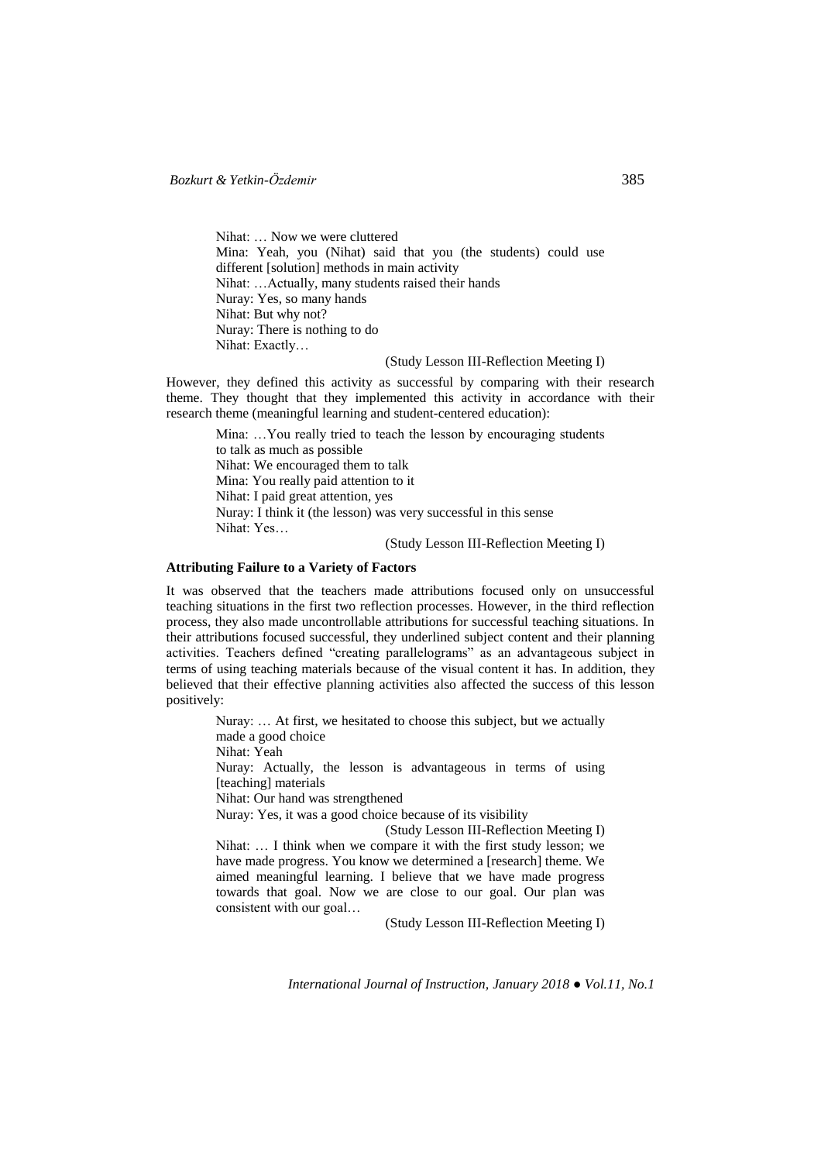Nihat: … Now we were cluttered Mina: Yeah, you (Nihat) said that you (the students) could use different [solution] methods in main activity Nihat: …Actually, many students raised their hands Nuray: Yes, so many hands Nihat: But why not? Nuray: There is nothing to do Nihat: Exactly…

### (Study Lesson III-Reflection Meeting I)

However, they defined this activity as successful by comparing with their research theme. They thought that they implemented this activity in accordance with their research theme (meaningful learning and student-centered education):

> Mina: …You really tried to teach the lesson by encouraging students to talk as much as possible Nihat: We encouraged them to talk Mina: You really paid attention to it Nihat: I paid great attention, yes Nuray: I think it (the lesson) was very successful in this sense Nihat: Yes…

(Study Lesson III-Reflection Meeting I)

# **Attributing Failure to a Variety of Factors**

consistent with our goal…

It was observed that the teachers made attributions focused only on unsuccessful teaching situations in the first two reflection processes. However, in the third reflection process, they also made uncontrollable attributions for successful teaching situations. In their attributions focused successful, they underlined subject content and their planning activities. Teachers defined "creating parallelograms" as an advantageous subject in terms of using teaching materials because of the visual content it has. In addition, they believed that their effective planning activities also affected the success of this lesson positively:

> Nuray: … At first, we hesitated to choose this subject, but we actually made a good choice Nihat: Yeah Nuray: Actually, the lesson is advantageous in terms of using [teaching] materials Nihat: Our hand was strengthened Nuray: Yes, it was a good choice because of its visibility (Study Lesson III-Reflection Meeting I) Nihat: ... I think when we compare it with the first study lesson; we have made progress. You know we determined a [research] theme. We aimed meaningful learning. I believe that we have made progress towards that goal. Now we are close to our goal. Our plan was

> > (Study Lesson III-Reflection Meeting I)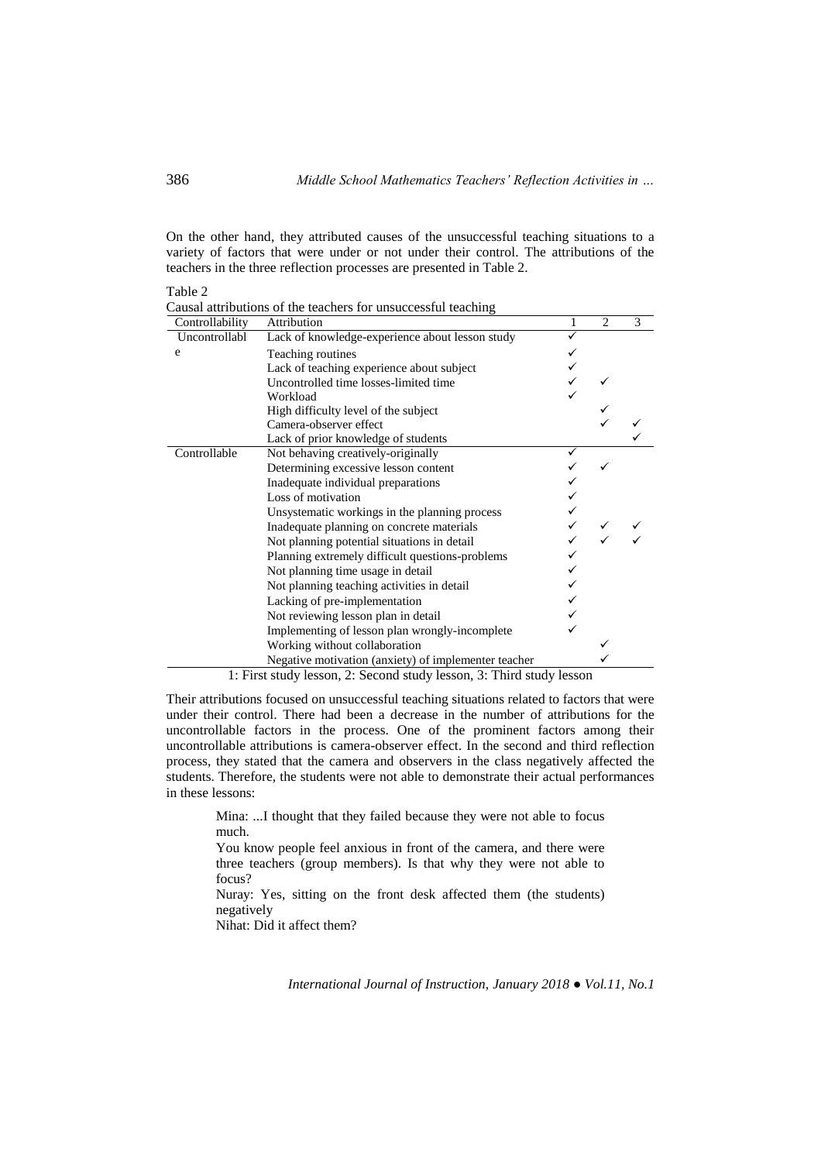On the other hand, they attributed causes of the unsuccessful teaching situations to a variety of factors that were under or not under their control. The attributions of the teachers in the three reflection processes are presented in Table 2.

| able |  |
|------|--|
|------|--|

Causal attributions of the teachers for unsuccessful teaching

| Controllability | Attribution                                                          | $\mathfrak{D}$ | 3 |
|-----------------|----------------------------------------------------------------------|----------------|---|
| Uncontrollabl   | Lack of knowledge-experience about lesson study                      |                |   |
| e               | Teaching routines                                                    |                |   |
|                 | Lack of teaching experience about subject                            |                |   |
|                 | Uncontrolled time losses-limited time                                |                |   |
|                 | Workload                                                             |                |   |
|                 | High difficulty level of the subject                                 |                |   |
|                 | Camera-observer effect                                               |                |   |
|                 | Lack of prior knowledge of students                                  |                |   |
| Controllable    | Not behaving creatively-originally                                   |                |   |
|                 | Determining excessive lesson content                                 |                |   |
|                 | Inadequate individual preparations                                   |                |   |
|                 | Loss of motivation                                                   |                |   |
|                 | Unsystematic workings in the planning process                        |                |   |
|                 | Inadequate planning on concrete materials                            |                |   |
|                 | Not planning potential situations in detail                          |                |   |
|                 | Planning extremely difficult questions-problems                      |                |   |
|                 | Not planning time usage in detail                                    |                |   |
|                 | Not planning teaching activities in detail                           |                |   |
|                 | Lacking of pre-implementation                                        |                |   |
|                 | Not reviewing lesson plan in detail                                  |                |   |
|                 | Implementing of lesson plan wrongly-incomplete                       |                |   |
|                 | Working without collaboration                                        |                |   |
|                 | Negative motivation (anxiety) of implementer teacher                 |                |   |
|                 | 1: First study lesson, 2: Second study lesson, 3: Third study lesson |                |   |

Their attributions focused on unsuccessful teaching situations related to factors that were under their control. There had been a decrease in the number of attributions for the uncontrollable factors in the process. One of the prominent factors among their uncontrollable attributions is camera-observer effect. In the second and third reflection process, they stated that the camera and observers in the class negatively affected the students. Therefore, the students were not able to demonstrate their actual performances in these lessons:

> Mina: ...I thought that they failed because they were not able to focus much.

> You know people feel anxious in front of the camera, and there were three teachers (group members). Is that why they were not able to focus?

> Nuray: Yes, sitting on the front desk affected them (the students) negatively

Nihat: Did it affect them?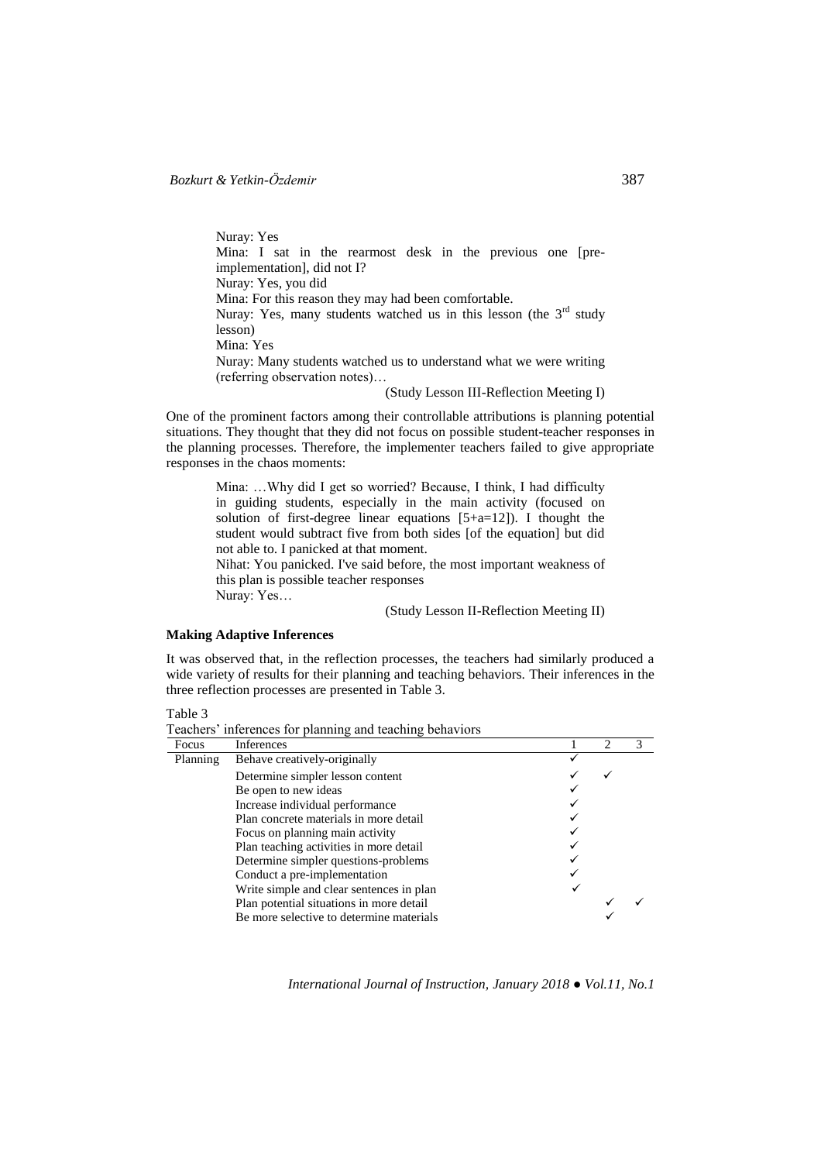Nuray: Yes Mina: I sat in the rearmost desk in the previous one [preimplementation], did not I? Nuray: Yes, you did Mina: For this reason they may had been comfortable. Nuray: Yes, many students watched us in this lesson (the  $3<sup>rd</sup>$  study lesson) Mina: Yes Nuray: Many students watched us to understand what we were writing (referring observation notes)…

(Study Lesson III-Reflection Meeting I)

One of the prominent factors among their controllable attributions is planning potential situations. They thought that they did not focus on possible student-teacher responses in the planning processes. Therefore, the implementer teachers failed to give appropriate responses in the chaos moments:

> Mina: …Why did I get so worried? Because, I think, I had difficulty in guiding students, especially in the main activity (focused on solution of first-degree linear equations [5+a=12]). I thought the student would subtract five from both sides [of the equation] but did not able to. I panicked at that moment.

> Nihat: You panicked. I've said before, the most important weakness of this plan is possible teacher responses Nuray: Yes…

> > (Study Lesson II-Reflection Meeting II)

#### **Making Adaptive Inferences**

It was observed that, in the reflection processes, the teachers had similarly produced a wide variety of results for their planning and teaching behaviors. Their inferences in the three reflection processes are presented in Table 3.

Table 3

Teachers' inferences for planning and teaching behaviors

|          | 7                                        |               |   |  |
|----------|------------------------------------------|---------------|---|--|
| Focus    | Inferences                               | $\mathcal{D}$ | 3 |  |
| Planning | Behave creatively-originally             |               |   |  |
|          | Determine simpler lesson content         |               |   |  |
|          | Be open to new ideas                     |               |   |  |
|          | Increase individual performance          |               |   |  |
|          | Plan concrete materials in more detail   |               |   |  |
|          | Focus on planning main activity          |               |   |  |
|          | Plan teaching activities in more detail  |               |   |  |
|          | Determine simpler questions-problems     |               |   |  |
|          | Conduct a pre-implementation             |               |   |  |
|          | Write simple and clear sentences in plan |               |   |  |
|          | Plan potential situations in more detail |               |   |  |
|          | Be more selective to determine materials |               |   |  |
|          |                                          |               |   |  |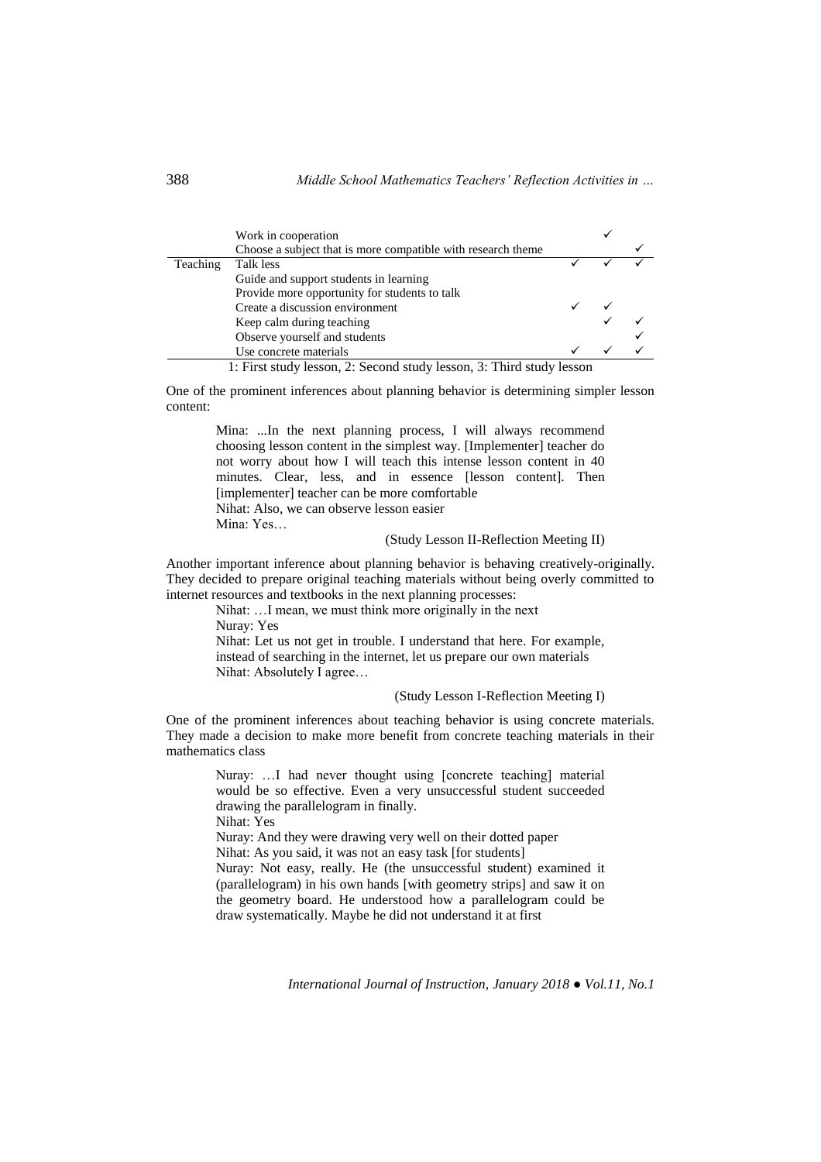|          | Work in cooperation                                                                                                                                                                                                                                                                            |  |  |
|----------|------------------------------------------------------------------------------------------------------------------------------------------------------------------------------------------------------------------------------------------------------------------------------------------------|--|--|
|          | Choose a subject that is more compatible with research theme                                                                                                                                                                                                                                   |  |  |
| Teaching | Talk less                                                                                                                                                                                                                                                                                      |  |  |
|          | Guide and support students in learning                                                                                                                                                                                                                                                         |  |  |
|          | Provide more opportunity for students to talk                                                                                                                                                                                                                                                  |  |  |
|          | Create a discussion environment                                                                                                                                                                                                                                                                |  |  |
|          | Keep calm during teaching                                                                                                                                                                                                                                                                      |  |  |
|          | Observe yourself and students                                                                                                                                                                                                                                                                  |  |  |
|          | Use concrete materials                                                                                                                                                                                                                                                                         |  |  |
|          | 1. $\Gamma$ and $\Gamma$ is a set of $\Gamma$ and $\Gamma$ and $\Gamma$ is a set of $\Gamma$ and $\Gamma$ and $\Gamma$ is a set of $\Gamma$ is a set of $\Gamma$ is a set of $\Gamma$ is a set of $\Gamma$ is a set of $\Gamma$ is a set of $\Gamma$ is a set of $\Gamma$ is a set of $\Gamma$ |  |  |

1: First study lesson, 2: Second study lesson, 3: Third study lesson

One of the prominent inferences about planning behavior is determining simpler lesson content:

> Mina: ...In the next planning process, I will always recommend choosing lesson content in the simplest way. [Implementer] teacher do not worry about how I will teach this intense lesson content in 40 minutes. Clear, less, and in essence [lesson content]. Then [implementer] teacher can be more comfortable Nihat: Also, we can observe lesson easier Mina: Yes…

# (Study Lesson II-Reflection Meeting II)

Another important inference about planning behavior is behaving creatively-originally. They decided to prepare original teaching materials without being overly committed to internet resources and textbooks in the next planning processes:

> Nihat: …I mean, we must think more originally in the next Nuray: Yes

Nihat: Let us not get in trouble. I understand that here. For example, instead of searching in the internet, let us prepare our own materials Nihat: Absolutely I agree…

### (Study Lesson I-Reflection Meeting I)

One of the prominent inferences about teaching behavior is using concrete materials. They made a decision to make more benefit from concrete teaching materials in their mathematics class

> Nuray: ...I had never thought using [concrete teaching] material would be so effective. Even a very unsuccessful student succeeded drawing the parallelogram in finally.

Nihat: Yes

Nuray: And they were drawing very well on their dotted paper Nihat: As you said, it was not an easy task [for students] Nuray: Not easy, really. He (the unsuccessful student) examined it (parallelogram) in his own hands [with geometry strips] and saw it on the geometry board. He understood how a parallelogram could be draw systematically. Maybe he did not understand it at first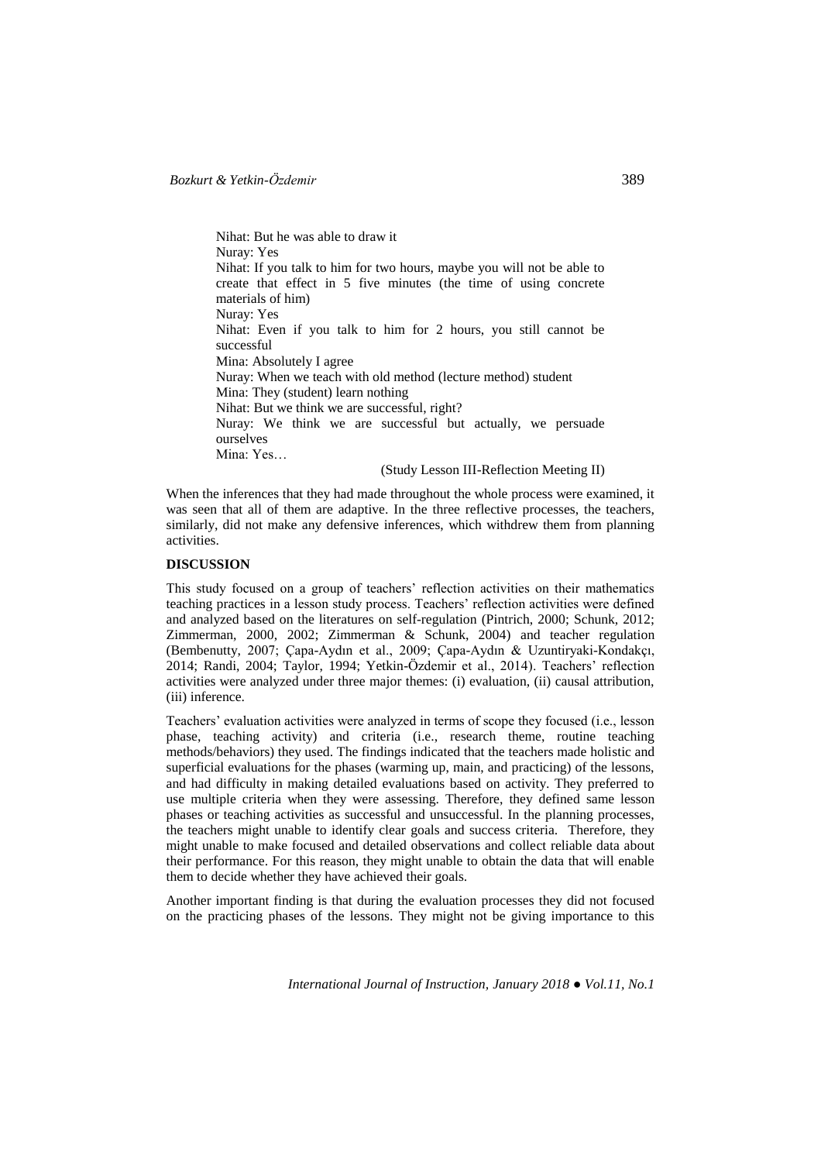Nihat: But he was able to draw it Nuray: Yes Nihat: If you talk to him for two hours, maybe you will not be able to create that effect in 5 five minutes (the time of using concrete materials of him) Nuray: Yes Nihat: Even if you talk to him for 2 hours, you still cannot be successful Mina: Absolutely I agree Nuray: When we teach with old method (lecture method) student Mina: They (student) learn nothing Nihat: But we think we are successful, right? Nuray: We think we are successful but actually, we persuade ourselves Mina: Yes…

(Study Lesson III-Reflection Meeting II)

When the inferences that they had made throughout the whole process were examined, it was seen that all of them are adaptive. In the three reflective processes, the teachers, similarly, did not make any defensive inferences, which withdrew them from planning activities.

# **DISCUSSION**

This study focused on a group of teachers' reflection activities on their mathematics teaching practices in a lesson study process. Teachers' reflection activities were defined and analyzed based on the literatures on self-regulation (Pintrich, 2000; Schunk, 2012; Zimmerman, 2000, 2002; Zimmerman & Schunk, 2004) and teacher regulation (Bembenutty, 2007; Çapa-Aydın et al., 2009; Çapa-Aydın & Uzuntiryaki-Kondakçı, 2014; Randi, 2004; Taylor, 1994; Yetkin-Özdemir et al., 2014). Teachers' reflection activities were analyzed under three major themes: (i) evaluation, (ii) causal attribution, (iii) inference.

Teachers' evaluation activities were analyzed in terms of scope they focused (i.e., lesson phase, teaching activity) and criteria (i.e., research theme, routine teaching methods/behaviors) they used. The findings indicated that the teachers made holistic and superficial evaluations for the phases (warming up, main, and practicing) of the lessons, and had difficulty in making detailed evaluations based on activity. They preferred to use multiple criteria when they were assessing. Therefore, they defined same lesson phases or teaching activities as successful and unsuccessful. In the planning processes, the teachers might unable to identify clear goals and success criteria. Therefore, they might unable to make focused and detailed observations and collect reliable data about their performance. For this reason, they might unable to obtain the data that will enable them to decide whether they have achieved their goals.

Another important finding is that during the evaluation processes they did not focused on the practicing phases of the lessons. They might not be giving importance to this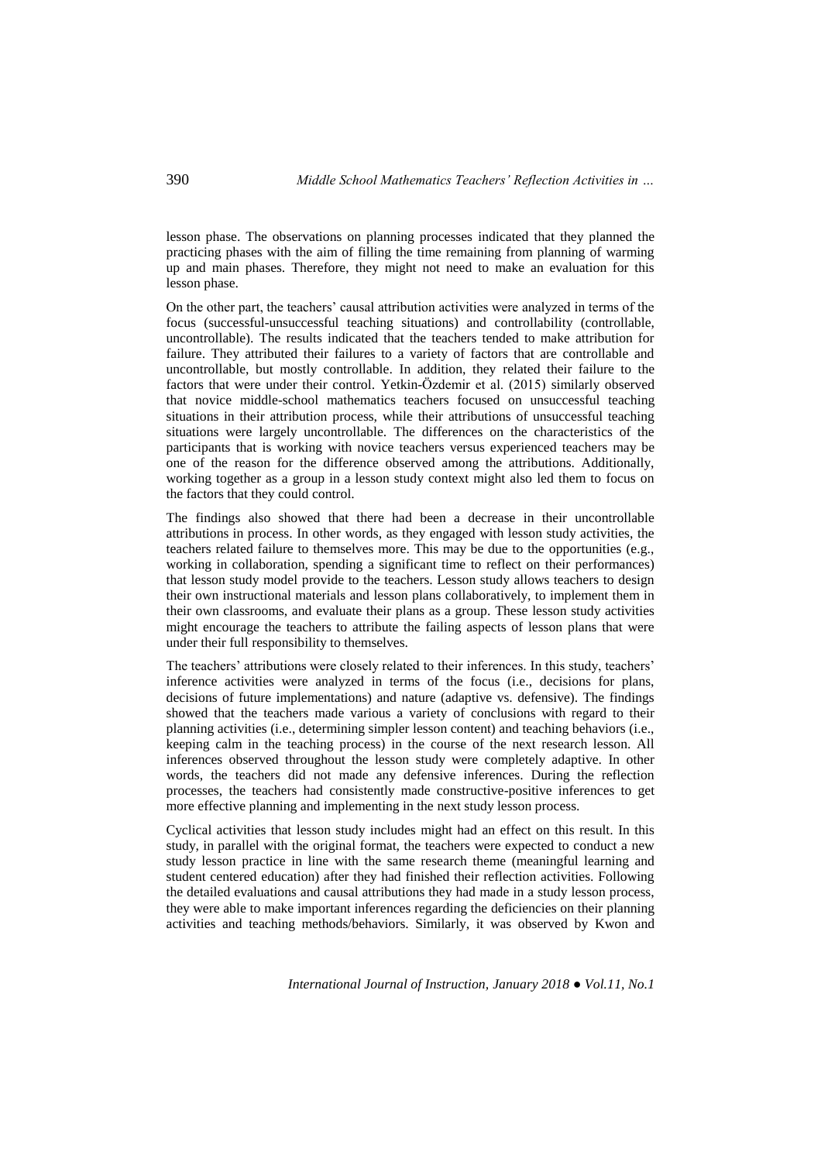lesson phase. The observations on planning processes indicated that they planned the practicing phases with the aim of filling the time remaining from planning of warming up and main phases. Therefore, they might not need to make an evaluation for this lesson phase.

On the other part, the teachers' causal attribution activities were analyzed in terms of the focus (successful-unsuccessful teaching situations) and controllability (controllable, uncontrollable). The results indicated that the teachers tended to make attribution for failure. They attributed their failures to a variety of factors that are controllable and uncontrollable, but mostly controllable. In addition, they related their failure to the factors that were under their control. Yetkin-Özdemir et al. (2015) similarly observed that novice middle-school mathematics teachers focused on unsuccessful teaching situations in their attribution process, while their attributions of unsuccessful teaching situations were largely uncontrollable. The differences on the characteristics of the participants that is working with novice teachers versus experienced teachers may be one of the reason for the difference observed among the attributions. Additionally, working together as a group in a lesson study context might also led them to focus on the factors that they could control.

The findings also showed that there had been a decrease in their uncontrollable attributions in process. In other words, as they engaged with lesson study activities, the teachers related failure to themselves more. This may be due to the opportunities (e.g., working in collaboration, spending a significant time to reflect on their performances) that lesson study model provide to the teachers. Lesson study allows teachers to design their own instructional materials and lesson plans collaboratively, to implement them in their own classrooms, and evaluate their plans as a group. These lesson study activities might encourage the teachers to attribute the failing aspects of lesson plans that were under their full responsibility to themselves.

The teachers' attributions were closely related to their inferences. In this study, teachers' inference activities were analyzed in terms of the focus (i.e., decisions for plans, decisions of future implementations) and nature (adaptive vs. defensive). The findings showed that the teachers made various a variety of conclusions with regard to their planning activities (i.e., determining simpler lesson content) and teaching behaviors (i.e., keeping calm in the teaching process) in the course of the next research lesson. All inferences observed throughout the lesson study were completely adaptive. In other words, the teachers did not made any defensive inferences. During the reflection processes, the teachers had consistently made constructive-positive inferences to get more effective planning and implementing in the next study lesson process.

Cyclical activities that lesson study includes might had an effect on this result. In this study, in parallel with the original format, the teachers were expected to conduct a new study lesson practice in line with the same research theme (meaningful learning and student centered education) after they had finished their reflection activities. Following the detailed evaluations and causal attributions they had made in a study lesson process, they were able to make important inferences regarding the deficiencies on their planning activities and teaching methods/behaviors. Similarly, it was observed by Kwon and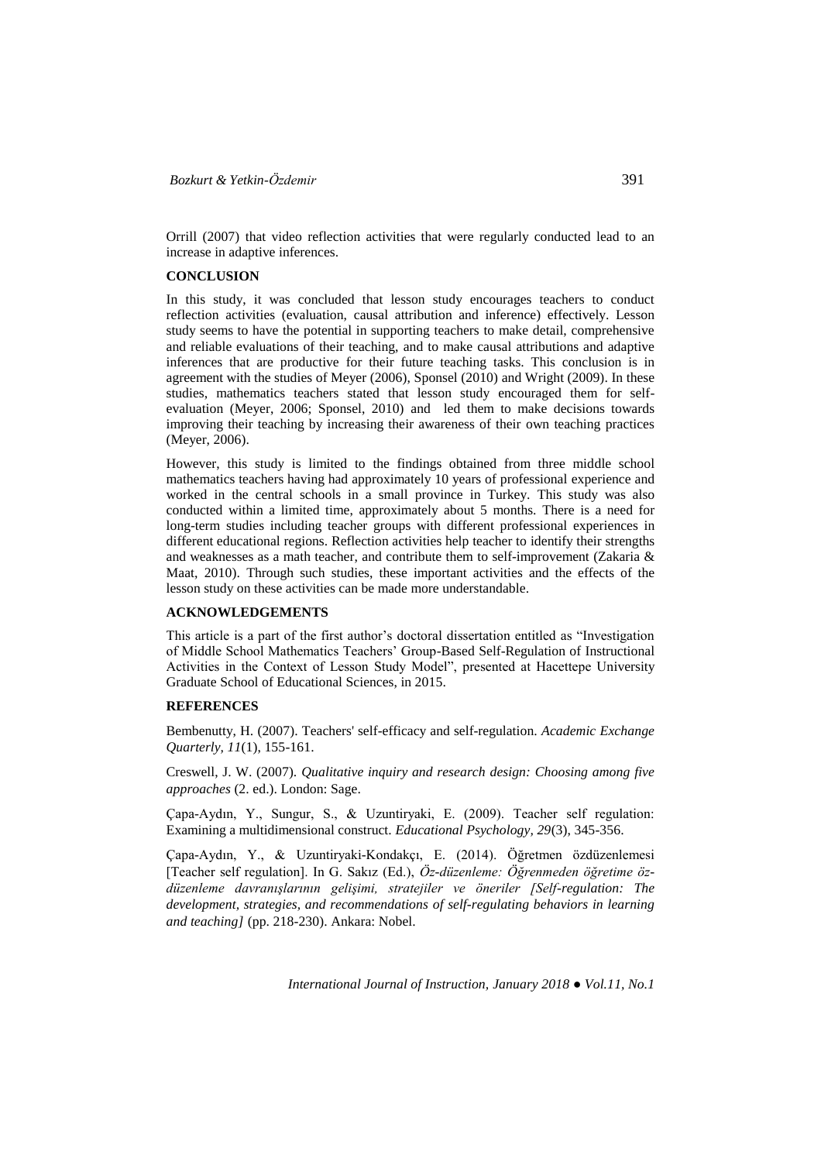Orrill (2007) that video reflection activities that were regularly conducted lead to an increase in adaptive inferences.

### **CONCLUSION**

In this study, it was concluded that lesson study encourages teachers to conduct reflection activities (evaluation, causal attribution and inference) effectively. Lesson study seems to have the potential in supporting teachers to make detail, comprehensive and reliable evaluations of their teaching, and to make causal attributions and adaptive inferences that are productive for their future teaching tasks. This conclusion is in agreement with the studies of Meyer (2006), Sponsel (2010) and Wright (2009). In these studies, mathematics teachers stated that lesson study encouraged them for selfevaluation (Meyer, 2006; Sponsel, 2010) and led them to make decisions towards improving their teaching by increasing their awareness of their own teaching practices (Meyer, 2006).

However, this study is limited to the findings obtained from three middle school mathematics teachers having had approximately 10 years of professional experience and worked in the central schools in a small province in Turkey. This study was also conducted within a limited time, approximately about 5 months. There is a need for long-term studies including teacher groups with different professional experiences in different educational regions. Reflection activities help teacher to identify their strengths and weaknesses as a math teacher, and contribute them to self-improvement (Zakaria  $\&$ Maat, 2010). Through such studies, these important activities and the effects of the lesson study on these activities can be made more understandable.

# **ACKNOWLEDGEMENTS**

This article is a part of the first author's doctoral dissertation entitled as "Investigation of Middle School Mathematics Teachers' Group-Based Self-Regulation of Instructional Activities in the Context of Lesson Study Model", presented at Hacettepe University Graduate School of Educational Sciences, in 2015.

# **REFERENCES**

Bembenutty, H. (2007). Teachers' self-efficacy and self-regulation. *Academic Exchange Quarterly, 11*(1), 155-161.

Creswell, J. W. (2007). *Qualitative inquiry and research design: Choosing among five approaches* (2. ed.). London: Sage.

Çapa-Aydın, Y., Sungur, S., & Uzuntiryaki, E. (2009). Teacher self regulation: Examining a multidimensional construct. *Educational Psychology, 29*(3), 345-356.

Çapa-Aydın, Y., & Uzuntiryaki-Kondakçı, E. (2014). Öğretmen özdüzenlemesi [Teacher self regulation]. In G. Sakız (Ed.), *Öz-düzenleme: Öğrenmeden öğretime özdüzenleme davranışlarının gelişimi, stratejiler ve öneriler [Self-regulation: The development, strategies, and recommendations of self-regulating behaviors in learning and teaching]* (pp. 218-230). Ankara: Nobel.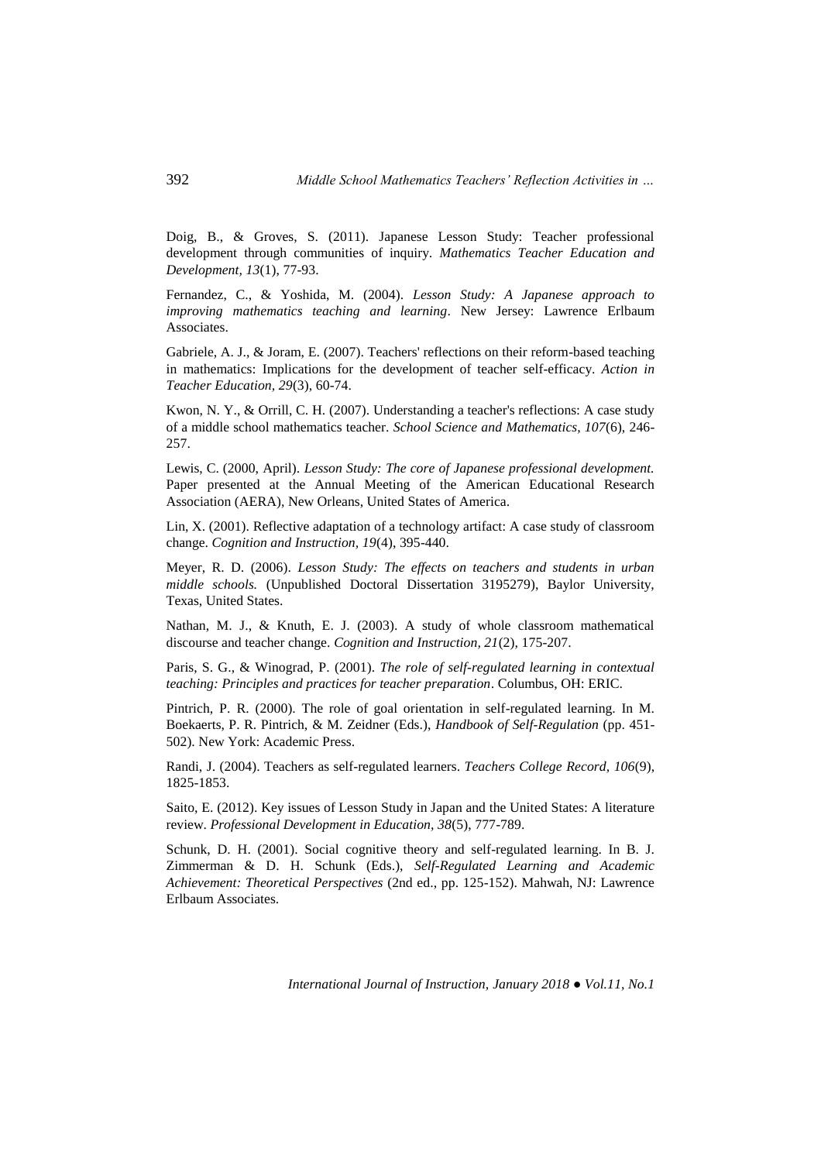Doig, B., & Groves, S. (2011). Japanese Lesson Study: Teacher professional development through communities of inquiry. *Mathematics Teacher Education and Development, 13*(1), 77-93.

Fernandez, C., & Yoshida, M. (2004). *Lesson Study: A Japanese approach to improving mathematics teaching and learning*. New Jersey: Lawrence Erlbaum Associates.

Gabriele, A. J., & Joram, E. (2007). Teachers' reflections on their reform-based teaching in mathematics: Implications for the development of teacher self-efficacy. *Action in Teacher Education, 29*(3), 60-74.

Kwon, N. Y., & Orrill, C. H. (2007). Understanding a teacher's reflections: A case study of a middle school mathematics teacher. *School Science and Mathematics, 107*(6), 246- 257.

Lewis, C. (2000, April). *Lesson Study: The core of Japanese professional development.* Paper presented at the Annual Meeting of the American Educational Research Association (AERA), New Orleans, United States of America.

Lin, X. (2001). Reflective adaptation of a technology artifact: A case study of classroom change. *Cognition and Instruction, 19*(4), 395-440.

Meyer, R. D. (2006). *Lesson Study: The effects on teachers and students in urban middle schools.* (Unpublished Doctoral Dissertation 3195279), Baylor University, Texas, United States.

Nathan, M. J., & Knuth, E. J. (2003). A study of whole classroom mathematical discourse and teacher change. *Cognition and Instruction, 21*(2), 175-207.

Paris, S. G., & Winograd, P. (2001). *The role of self-regulated learning in contextual teaching: Principles and practices for teacher preparation*. Columbus, OH: ERIC.

Pintrich, P. R. (2000). The role of goal orientation in self-regulated learning. In M. Boekaerts, P. R. Pintrich, & M. Zeidner (Eds.), *Handbook of Self-Regulation* (pp. 451- 502). New York: Academic Press.

Randi, J. (2004). Teachers as self-regulated learners. *Teachers College Record, 106*(9), 1825-1853.

Saito, E. (2012). Key issues of Lesson Study in Japan and the United States: A literature review. *Professional Development in Education, 38*(5), 777-789.

Schunk, D. H. (2001). Social cognitive theory and self-regulated learning. In B. J. Zimmerman & D. H. Schunk (Eds.), *Self-Regulated Learning and Academic Achievement: Theoretical Perspectives* (2nd ed., pp. 125-152). Mahwah, NJ: Lawrence Erlbaum Associates.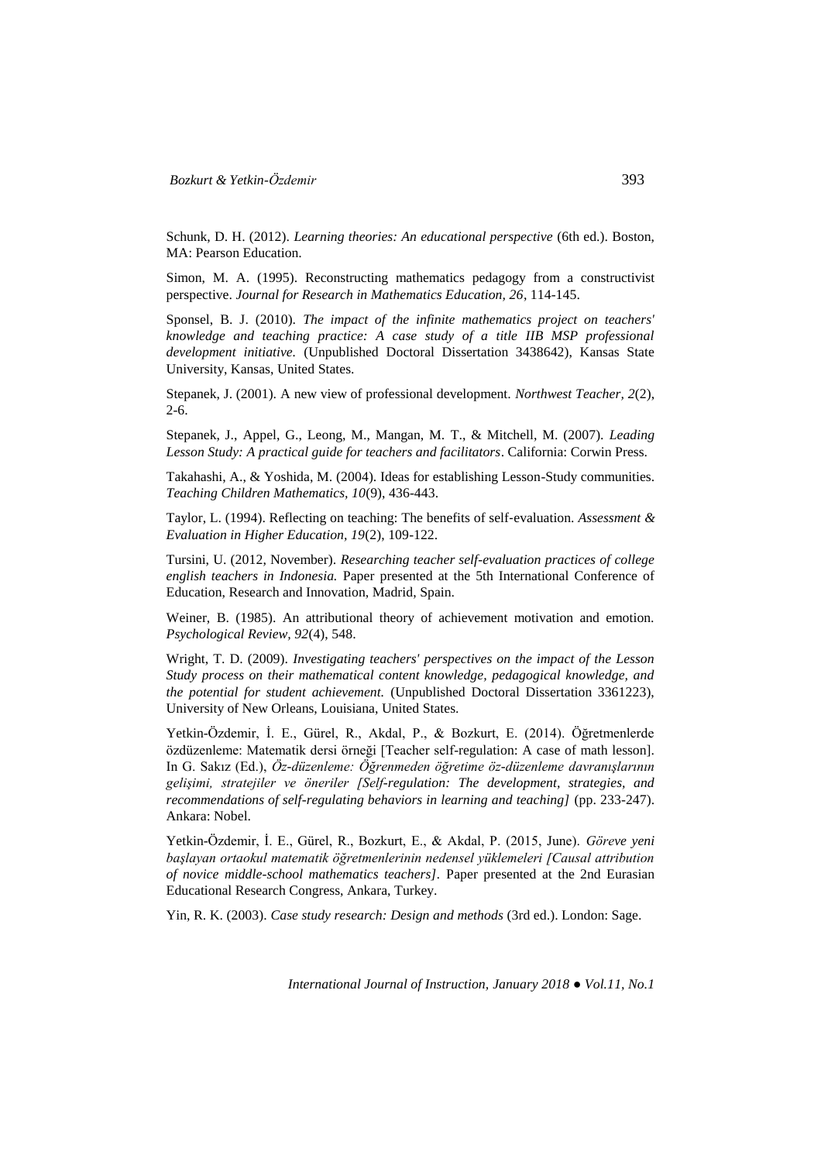Schunk, D. H. (2012). *Learning theories: An educational perspective* (6th ed.). Boston, MA: Pearson Education.

Simon, M. A. (1995). Reconstructing mathematics pedagogy from a constructivist perspective. *Journal for Research in Mathematics Education, 26*, 114-145.

Sponsel, B. J. (2010). *The impact of the infinite mathematics project on teachers' knowledge and teaching practice: A case study of a title IIB MSP professional development initiative.* (Unpublished Doctoral Dissertation 3438642), Kansas State University, Kansas, United States.

Stepanek, J. (2001). A new view of professional development. *Northwest Teacher, 2*(2), 2-6.

Stepanek, J., Appel, G., Leong, M., Mangan, M. T., & Mitchell, M. (2007). *Leading Lesson Study: A practical guide for teachers and facilitators*. California: Corwin Press.

Takahashi, A., & Yoshida, M. (2004). Ideas for establishing Lesson-Study communities. *Teaching Children Mathematics, 10*(9), 436-443.

Taylor, L. (1994). Reflecting on teaching: The benefits of self‐evaluation. *Assessment & Evaluation in Higher Education, 19*(2), 109-122.

Tursini, U. (2012, November). *Researching teacher self-evaluation practices of college english teachers in Indonesia.* Paper presented at the 5th International Conference of Education, Research and Innovation, Madrid, Spain.

Weiner, B. (1985). An attributional theory of achievement motivation and emotion. *Psychological Review, 92*(4), 548.

Wright, T. D. (2009). *Investigating teachers' perspectives on the impact of the Lesson Study process on their mathematical content knowledge, pedagogical knowledge, and the potential for student achievement.* (Unpublished Doctoral Dissertation 3361223), University of New Orleans, Louisiana, United States.

Yetkin-Özdemir, İ. E., Gürel, R., Akdal, P., & Bozkurt, E. (2014). Öğretmenlerde özdüzenleme: Matematik dersi örneği [Teacher self-regulation: A case of math lesson]. In G. Sakız (Ed.), *Öz-düzenleme: Öğrenmeden öğretime öz-düzenleme davranışlarının gelişimi, stratejiler ve öneriler [Self-regulation: The development, strategies, and recommendations of self-regulating behaviors in learning and teaching]* (pp. 233-247). Ankara: Nobel.

Yetkin-Özdemir, İ. E., Gürel, R., Bozkurt, E., & Akdal, P. (2015, June). *Göreve yeni başlayan ortaokul matematik öğretmenlerinin nedensel yüklemeleri [Causal attribution of novice middle-school mathematics teachers].* Paper presented at the 2nd Eurasian Educational Research Congress, Ankara, Turkey.

Yin, R. K. (2003). *Case study research: Design and methods* (3rd ed.). London: Sage.